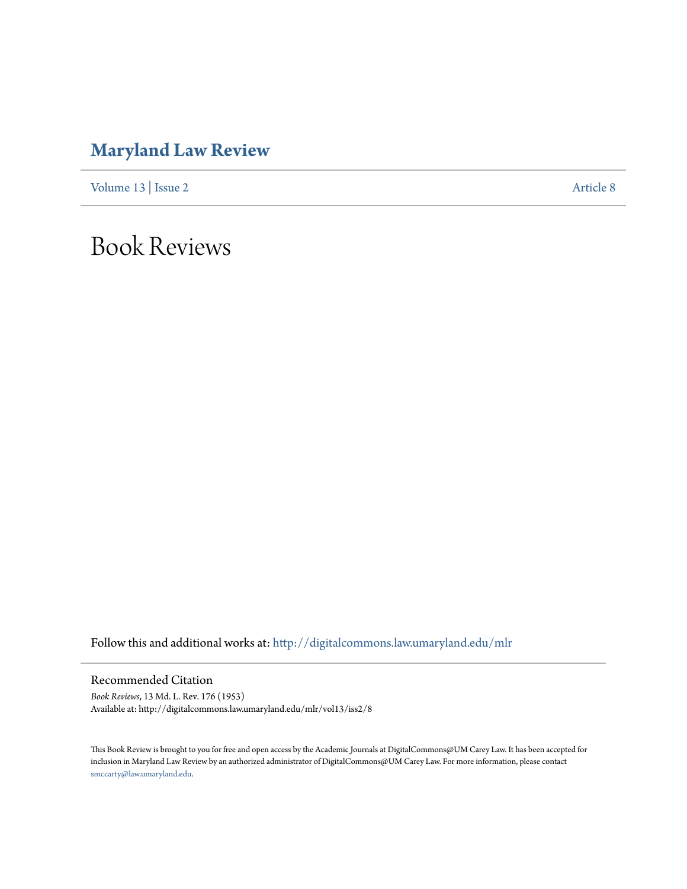## **[Maryland Law Review](http://digitalcommons.law.umaryland.edu/mlr?utm_source=digitalcommons.law.umaryland.edu%2Fmlr%2Fvol13%2Fiss2%2F8&utm_medium=PDF&utm_campaign=PDFCoverPages)**

[Volume 13](http://digitalcommons.law.umaryland.edu/mlr/vol13?utm_source=digitalcommons.law.umaryland.edu%2Fmlr%2Fvol13%2Fiss2%2F8&utm_medium=PDF&utm_campaign=PDFCoverPages) | [Issue 2](http://digitalcommons.law.umaryland.edu/mlr/vol13/iss2?utm_source=digitalcommons.law.umaryland.edu%2Fmlr%2Fvol13%2Fiss2%2F8&utm_medium=PDF&utm_campaign=PDFCoverPages) [Article 8](http://digitalcommons.law.umaryland.edu/mlr/vol13/iss2/8?utm_source=digitalcommons.law.umaryland.edu%2Fmlr%2Fvol13%2Fiss2%2F8&utm_medium=PDF&utm_campaign=PDFCoverPages)

Book Reviews

Follow this and additional works at: [http://digitalcommons.law.umaryland.edu/mlr](http://digitalcommons.law.umaryland.edu/mlr?utm_source=digitalcommons.law.umaryland.edu%2Fmlr%2Fvol13%2Fiss2%2F8&utm_medium=PDF&utm_campaign=PDFCoverPages)

Recommended Citation

*Book Reviews*, 13 Md. L. Rev. 176 (1953) Available at: http://digitalcommons.law.umaryland.edu/mlr/vol13/iss2/8

This Book Review is brought to you for free and open access by the Academic Journals at DigitalCommons@UM Carey Law. It has been accepted for inclusion in Maryland Law Review by an authorized administrator of DigitalCommons@UM Carey Law. For more information, please contact [smccarty@law.umaryland.edu.](mailto:smccarty@law.umaryland.edu)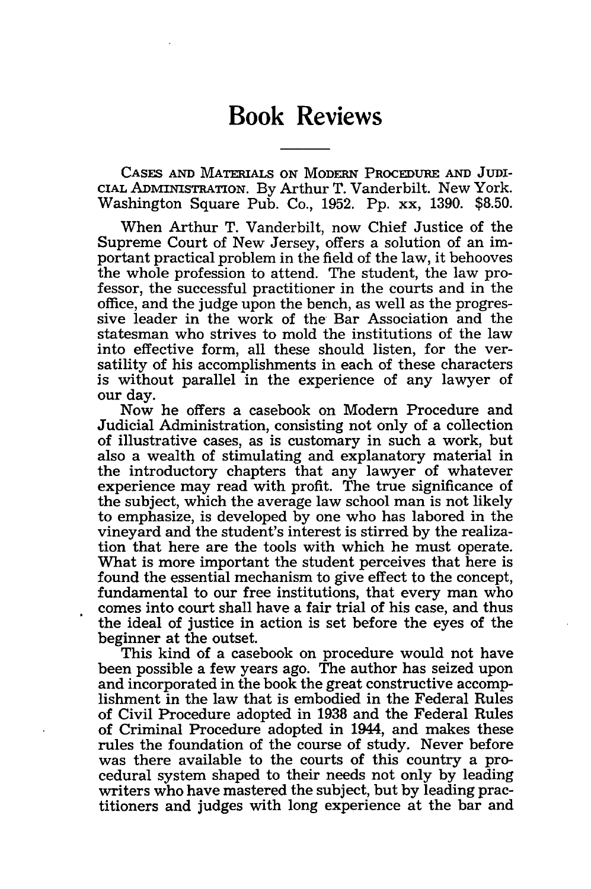**CASES AND** MATERIALS ON MODERN PROCEDURE **AND** JUDI-CIAL ADMINISTRATION. By Arthur T. Vanderbilt. New York. Washington Square Pub. Co., 1952. Pp. xx, 1390. \$8.50.

When Arthur T. Vanderbilt, now Chief Justice of the Supreme Court of New Jersey, offers a solution of an important practical problem in the field of the law, it behooves the whole profession to attend. The student, the law professor, the successful practitioner in the courts and in the office, and the judge upon the bench, as well as the progressive leader in the work of the Bar Association and the statesman who strives to mold the institutions of the law into effective form, all these should listen, for the versatility of his accomplishments in each of these characters is without parallel in the experience of any lawyer of our day.

Now he offers a casebook on Modern Procedure and Judicial Administration, consisting not only of a collection of illustrative cases, as is customary in such a work, but also a wealth of stimulating and explanatory material in the introductory chapters that any lawyer of whatever experience may read with profit. The true significance of the subject, which the average law school man is not likely to emphasize, is developed by one who has labored in the vineyard and the student's interest is stirred by the realization that here are the tools with which he must operate. What is more important the student perceives that here is found the essential mechanism to give effect to the concept, fundamental to our free institutions, that every man who comes into court shall have a fair trial of his case, and thus the ideal of justice in action is set before the eyes of the beginner at the outset.

This kind of a casebook on procedure would not have been possible a few years ago. The author has seized upon and incorporated in the book the great constructive accomplishment in the law that is embodied in the Federal Rules of Civil Procedure adopted in 1938 and the Federal Rules of Criminal Procedure adopted in 1944, and makes these rules the foundation of the course of study. Never before was there available to the courts of this country a procedural system shaped to their needs not only by leading writers who have mastered the subject, but by leading practitioners and judges with long experience at the bar and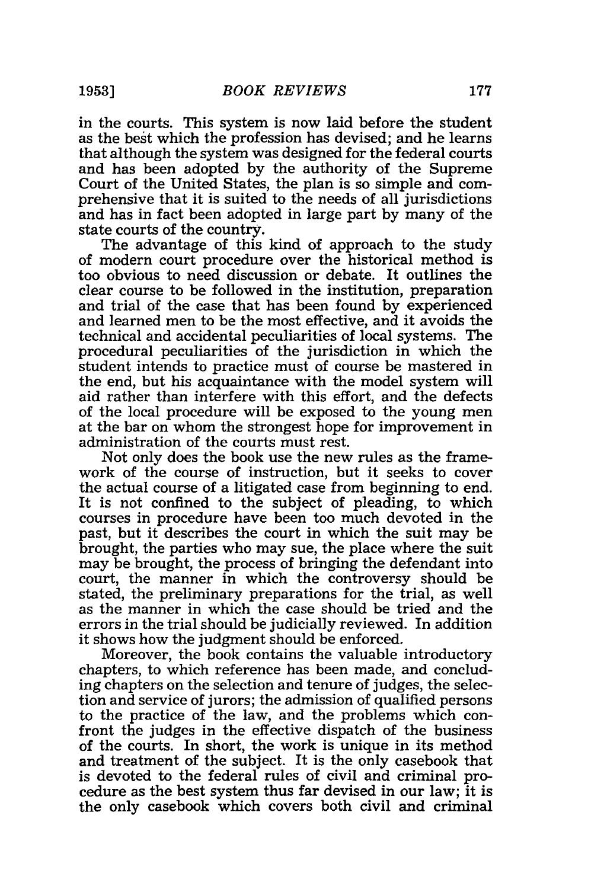in the courts. This system is now laid before the student as the best which the profession has devised; and he learns that although the system was designed for the federal courts and has been adopted by the authority of the Supreme Court of the United States, the plan is so simple and comprehensive that it is suited to the needs of all jurisdictions and has in fact been adopted in large part by many of the state courts of the country.

The advantage of this kind of approach to the study of modern court procedure over the historical method is too obvious to need discussion or debate. It outlines the clear course to be followed in the institution, preparation and trial of the case that has been found by experienced and learned men to be the most effective, and it avoids the technical and accidental peculiarities of local systems. The procedural peculiarities of the jurisdiction in which the student intends to practice must of course be mastered in the end, but his acquaintance with the model system will aid rather than interfere with this effort, and the defects of the local procedure will be exposed to the young men at the bar on whom the strongest hope for improvement in administration of the courts must rest.

Not only does the book use the new rules as the framework of the course of instruction, but it seeks to cover the actual course of a litigated case from beginning to end. It is not confined to the subject of pleading, to which courses in procedure have been too much devoted in the past, but it describes the court in which the suit may be brought, the parties who may sue, the place where the suit may be brought, the process of bringing the defendant into court, the manner in which the controversy should be stated, the preliminary preparations for the trial, as well as the manner in which the case should be tried and the errors in the trial should be judicially reviewed. In addition it shows how the judgment should be enforced.

Moreover, the book contains the valuable introductory chapters, to which reference has been made, and concluding chapters on the selection and tenure of judges, the selection and service of jurors; the admission of qualified persons to the practice of the law, and the problems which confront the judges in the effective dispatch of the business of the courts. In short, the work is unique in its method and treatment of the subject. It is the only casebook that is devoted to the federal rules of civil and criminal procedure as the best system thus far devised in our law; it is the only casebook which covers both civil and criminal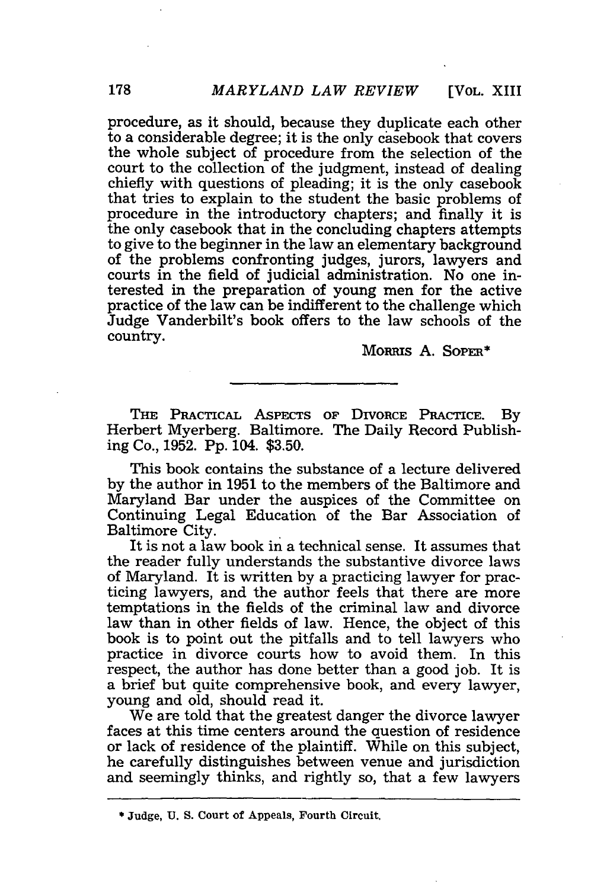procedure, as it should, because they duplicate each other to a considerable degree; it is the only casebook that covers the whole subject of procedure from the selection of the court to the collection of the judgment, instead of dealing chiefly with questions of pleading; it is the only casebook that tries to explain to the student the basic problems of procedure in the introductory chapters; and finally it is the only casebook that in the concluding chapters attempts to give to the beginner in the law an elementary background of the problems confronting judges, jurors, lawyers and courts in the field of judicial administration. No one interested in the preparation of young men for the active practice of the law can be indifferent to the challenge which Judge Vanderbilt's book offers to the law schools of the country.

**MoRRIs A. SOPER\***

**THE** PRAcTIcAL ASPECTS **OF** DIVORCE PRACTICE. By Herbert Myerberg. Baltimore. The Daily Record Publishing Co., 1952. **Pp.** 104. \$3.50.

This book contains the substance of a lecture delivered by the author in 1951 to the members of the Baltimore and Maryland Bar under the auspices of the Committee on Continuing Legal Education of the Bar Association of Baltimore City.

It is not a law book in a technical sense. It assumes that the reader fully understands the substantive divorce laws of Maryland. It is written by a practicing lawyer for practicing lawyers, and the author feels that there are more temptations in the fields of the criminal law and divorce law than in other fields of law. Hence, the object of this book is to point out the pitfalls and to tell lawyers who practice in divorce courts how to avoid them. In this respect, the author has done better than a good job. It is a brief but quite comprehensive book, and every lawyer, young and old, should read it.

We are told that the greatest danger the divorce lawyer faces at this time centers around the question of residence or lack of residence of the plaintiff. While on this subject, he carefully distinguishes between venue and jurisdiction and seemingly thinks, and rightly so, that a few lawyers

**<sup>\*</sup> Judge, U. S. Court of** Appeals, **Fourth Circuit.**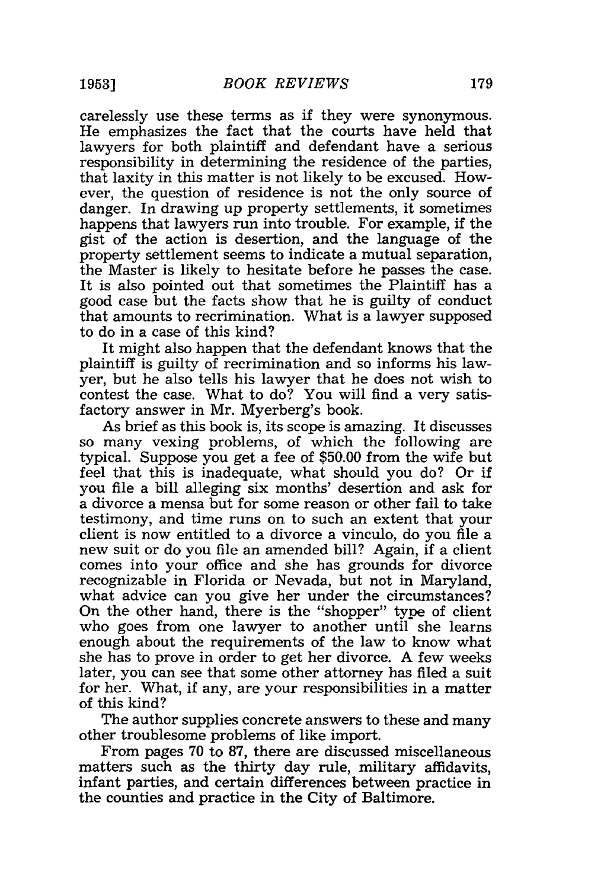carelessly use these terms as if they were synonymous. He emphasizes the fact that the courts have held that lawyers for both plaintiff and defendant have a serious responsibility in determining the residence of the parties, that laxity in this matter is not likely to be excused. However, the question of residence is not the only source of danger. In drawing up property settlements, it sometimes happens that lawyers run into trouble. For example, if the gist of the action is desertion, and the language of the property settlement seems to indicate a mutual separation, the Master is likely to hesitate before he passes the case. It is also pointed out that sometimes the Plaintiff has a good case but the facts show that he is guilty of conduct that amounts to recrimination. What is a lawyer supposed to do in a case of this kind?

It might also happen that the defendant knows that the plaintiff is guilty of recrimination and so informs his lawyer, but he also tells his lawyer that he does not wish to contest the case. What to do? You will find a very satisfactory answer in Mr. Myerberg's book.

As brief as this book is, its scope is amazing. It discusses so many vexing problems, of which the following are typical. Suppose you get a fee of \$50.00 from the wife but feel that this is inadequate, what should you do? Or if you file a bill alleging six months' desertion and ask for a divorce a mensa but for some reason or other fail to take testimony, and time runs on to such an extent that your client is now entitled to a divorce a vinculo, do you file a new suit or do you file an amended bill? Again, if a client comes into your office and she has grounds for divorce recognizable in Florida or Nevada, but not in Maryland, what advice can you give her under the circumstances? On the other hand, there is the "shopper" type of client who goes from one lawyer to another until she learns enough about the requirements of the law to know what she has to prove in order to get her divorce. A few weeks later, you can see that some other attorney has filed a suit for her. What, if any, are your responsibilities in a matter of this kind?

The author supplies concrete answers to these and many other troublesome problems of like import.

From pages 70 to 87, there are discussed miscellaneous matters such as the thirty day rule, military affidavits, infant parties, and certain differences between practice in the counties and practice in the City of Baltimore.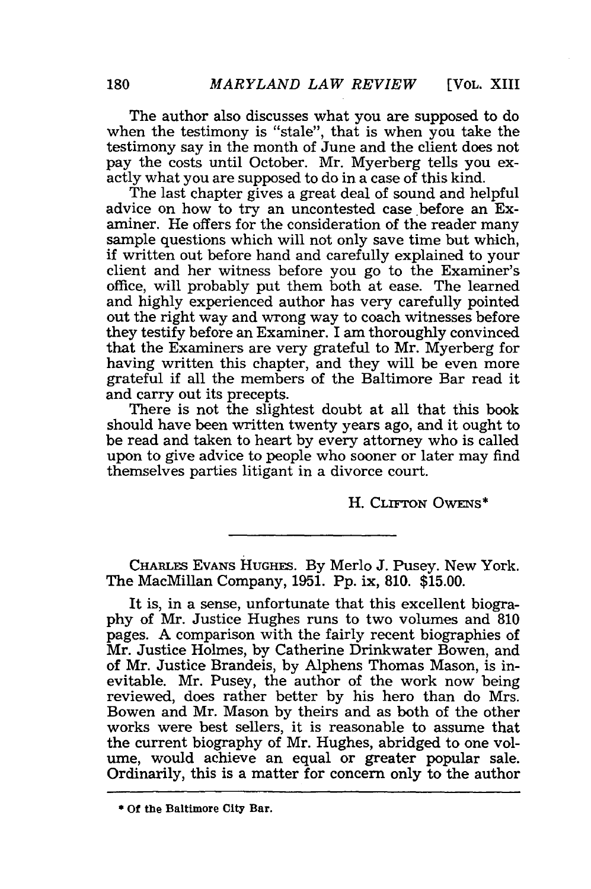[VOL. XIII

The author also discusses what you are supposed to do when the testimony is "stale", that is when you take the testimony say in the month of June and the client does not pay the costs until October. Mr. Myerberg tells you exactly what you are supposed to do in a case of this kind.

The last chapter gives a great deal of sound and helpful advice on how to try an uncontested case before an Examiner. He offers for the consideration of the reader many sample questions which will not only save time but which, if written out before hand and carefully explained to your client and her witness before you go to the Examiner's office, will probably put them both at ease. The learned and highly experienced author has very carefully pointed out the right way and wrong way to coach witnesses before they testify before an Examiner. I am thoroughly convinced that the Examiners are very grateful to Mr. Myerberg for having written this chapter, and they will be even more grateful if all the members of the Baltimore Bar read it and carry out its precepts.

There is not the slightest doubt at all that this book should have been written twenty years ago, and it ought to be read and taken to heart by every attorney who is called upon to give advice to people who sooner or later may find themselves parties litigant in a divorce court.

H. **CLrFToN** OwENs\*

**CHARLES EVANS HUGHES.** By Merlo J. Pusey. New York. The MacMillan Company, 1951. Pp. ix, 810. \$15.00.

It is, in a sense, unfortunate that this excellent biography of Mr. Justice Hughes runs to two volumes and 810 pages. **A** comparison with the fairly recent biographies of Mr. Justice Holmes, by Catherine Drinkwater Bowen, and of Mr. Justice Brandeis, by Alphens Thomas Mason, is inevitable. Mr. Pusey, the author of the work now being reviewed, does rather better by his hero than do Mrs. Bowen and Mr. Mason by theirs and as both of the other works were best sellers, it is reasonable to assume that the current biography of Mr. Hughes, abridged to one volume, would achieve an equal or greater popular sale. Ordinarily, this is a matter for concern only to the author

<sup>\*</sup> **Of the** Baltimore **City Bar.**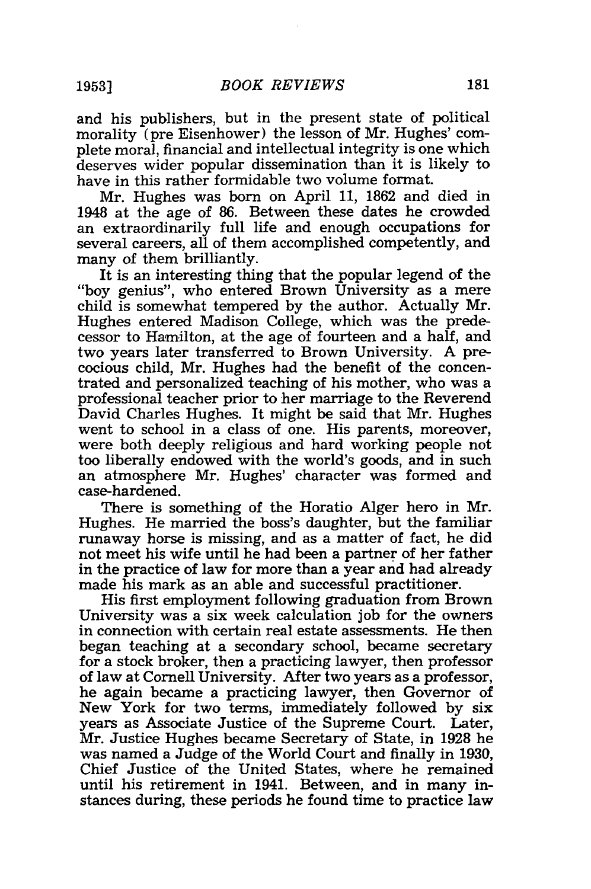and his publishers, but in the present state of political morality (pre Eisenhower) the lesson of Mr. Hughes' complete moral, financial and intellectual integrity is one which deserves wider popular dissemination than it is likely to have in this rather formidable two volume format.

Mr. Hughes was born on April 11, 1862 and died in 1948 at the age of 86. Between these dates he crowded an extraordinarily full life and enough occupations for several careers, all of them accomplished competently, and many of them brilliantly.

It is an interesting thing that the popular legend of the "boy genius", who entered Brown University as a mere child is somewhat tempered by the author. Actually Mr. Hughes entered Madison College, which was the predecessor to Hamilton, at the age of fourteen and a half, and two years later transferred to Brown University. A precocious child, Mr. Hughes had the benefit of the concentrated and personalized teaching of his mother, who was a professional teacher prior to her marriage to the Reverend David Charles Hughes. It might be said that Mr. Hughes went to school in a class of one. His parents, moreover, were both deeply religious and hard working people not too liberally endowed with the world's goods, and in such an atmosphere Mr. Hughes' character was formed and case-hardened.

There is something of the Horatio Alger hero in Mr. Hughes. He married the boss's daughter, but the familiar runaway horse is missing, and as a matter of fact, he did not meet his wife until he had been a partner of her father in the practice of law for more than a year and had already made his mark as an able and successful practitioner.

His first employment following graduation from Brown University was a six week calculation job for the owners in connection with certain real estate assessments. He then began teaching at a secondary school, became secretary for a stock broker, then a practicing lawyer, then professor of law at Cornell University. After two years as a professor, he again became a practicing lawyer, then Governor of New York for two terms, immediately followed by six years as Associate Justice of the Supreme Court. Later, Mr. Justice Hughes became Secretary of State, in 1928 he was named a Judge of the World Court and finally in 1930, Chief Justice of the United States, where he remained until his retirement in 1941. Between, and in many instances during, these periods he found time to practice law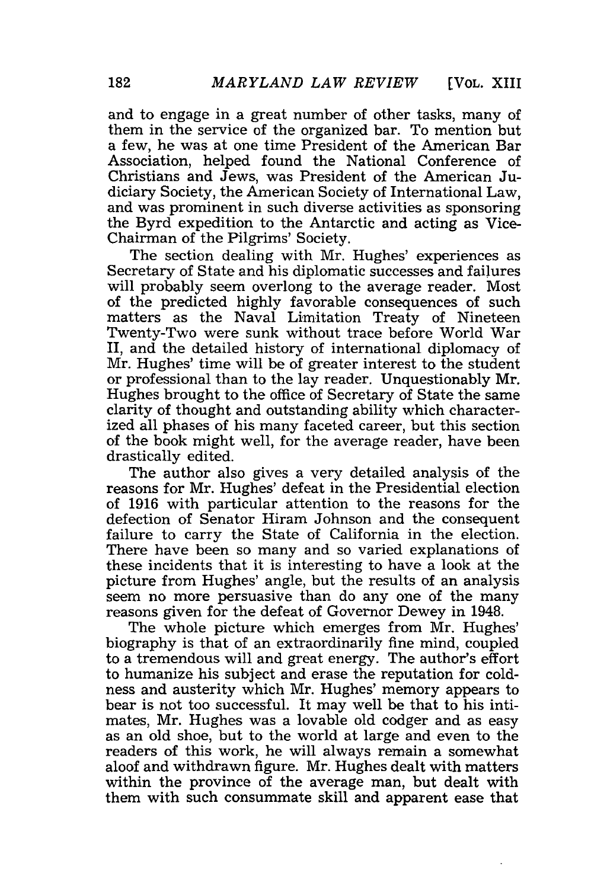and to engage in a great number of other tasks, many of them in the service of the organized bar. To mention but a few, he was at one time President of the American Bar Association, helped found the National Conference of Christians and Jews, was President of the American Judiciary Society, the American Society of International Law, and was prominent in such diverse activities as sponsoring the Byrd expedition to the Antarctic and acting as Vice-Chairman of the Pilgrims' Society.

The section dealing with Mr. Hughes' experiences as Secretary of State and his diplomatic successes and failures will probably seem overlong to the average reader. Most of the predicted highly favorable consequences of such matters as the Naval Limitation Treaty of Nineteen Twenty-Two were sunk without trace before World War II, and the detailed history of international diplomacy of Mr. Hughes' time will be of greater interest to the student or professional than to the lay reader. Unquestionably Mr. Hughes brought to the office of Secretary of State the same clarity of thought and outstanding ability which characterized all phases of his many faceted career, but this section of the book might well, for the average reader, have been drastically edited.

The author also gives a very detailed analysis of the reasons for Mr. Hughes' defeat in the Presidential election of 1916 with particular attention to the reasons for the defection of Senator Hiram Johnson and the consequent failure to carry the State of California in the election. There have been so many and so varied explanations of these incidents that it is interesting to have a look at the picture from Hughes' angle, but the results of an analysis seem no more persuasive than do any one of the many reasons given for the defeat of Governor Dewey in 1948.

The whole picture which emerges from Mr. Hughes' biography is that of an extraordinarily fine mind, coupled to a tremendous will and great energy. The author's effort to humanize his subject and erase the reputation for coldness and austerity which Mr. Hughes' memory appears to bear is not too successful. It may well be that to his intimates, Mr. Hughes was a lovable old codger and as easy as an old shoe, but to the world at large and even to the readers of this work, he will always remain a somewhat aloof and withdrawn figure. Mr. Hughes dealt with matters within the province of the average man, but dealt with them with such consummate skill and apparent ease that